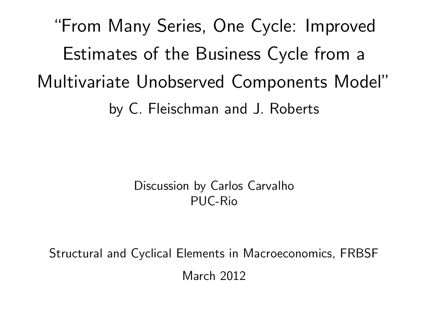"From Many Series, One Cycle: Improved Estimates of the Business Cycle from a Multivariate Unobserved Components Model" by C. Fleischman and J. Roberts

> Discussion by Carlos Carvalho PUC-Rio

Structural and Cyclical Elements in Macroeconomics, FRBSF March 2012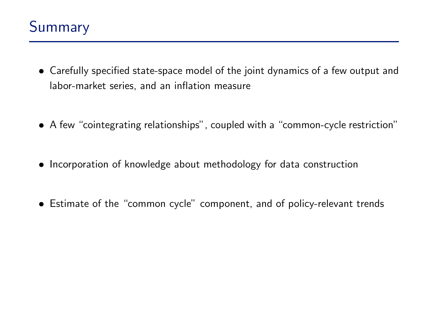- Carefully specified state-space model of the joint dynamics of a few output and labor-market series, and an inflation measure
- A few "cointegrating relationships", coupled with a "common-cycle restriction"
- Incorporation of knowledge about methodology for data construction
- Estimate of the "common cycle" component, and of policy-relevant trends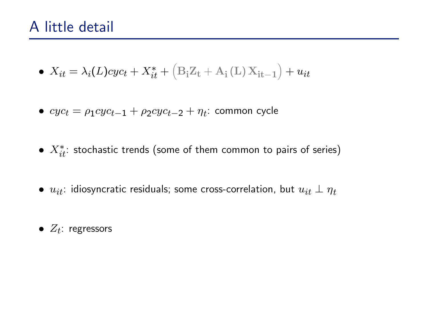## A little detail

- $X_{it} = \lambda_i(L)cyc_t + X_{it}^* +$  $\left( \mathbf{B}_{\mathbf{i}}\mathbf{Z}_{\mathbf{t}}+\mathbf{A}_{\mathbf{i}}\left(\mathbf{L}\right)\mathbf{X}_{\mathbf{it}-\mathbf{1}}\right)$  $+ u_{it}$
- $\bullet \ cyc_t = \rho_1 cyc_{t-1} + \rho_2 cyc_{t-2} + \eta_t$ : common cycle
- $\bullet\;X^*_{it}:$  stochastic trends (some of them common to pairs of series)
- $\bullet$   $u_{it}$ : idiosyncratic residuals; some cross-correlation, but  $u_{it} \perp \eta_t$
- $\bullet$   $Z_t$ : regressors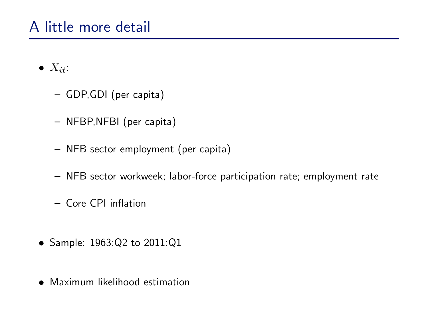## A little more detail

- $\bullet$   $X_{it}$ :
	- GDP,GDI (per capita)
	- NFBP, NFBI (per capita)
	- NFB sector employment (per capita)
	- NFB sector workweek; labor-force participation rate; employment rate
	- Core CPI inflation
- Sample: 1963:Q2 to 2011:Q1
- Maximum likelihood estimation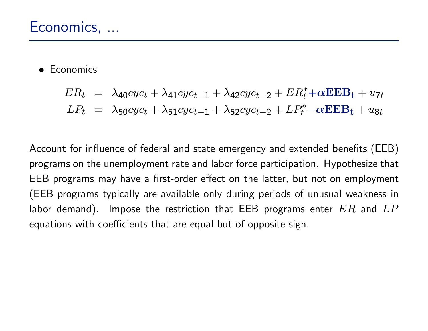• Economics

$$
ER_t = \lambda_{40}cyc_t + \lambda_{41}cyc_{t-1} + \lambda_{42}cyc_{t-2} + ER_t^* + \alpha EEB_t + u_{7t}
$$
  

$$
LP_t = \lambda_{50}cyc_t + \lambda_{51}cyc_{t-1} + \lambda_{52}cyc_{t-2} + LP_t^* - \alpha EEB_t + u_{8t}
$$

Account for influence of federal and state emergency and extended benefits (EEB) programs on the unemployment rate and labor force participation. Hypothesize that EEB programs may have a first-order effect on the latter, but not on employment (EEB programs typically are available only during periods of unusual weakness in labor demand). Impose the restriction that EEB programs enter  $ER$  and  $LP$ equations with coefficients that are equal but of opposite sign.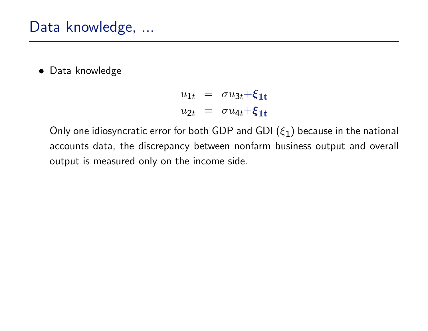Data knowledge

$$
u_{1t} = \sigma u_{3t} + \xi_{1t}
$$
  

$$
u_{2t} = \sigma u_{4t} + \xi_{1t}
$$

Only one idiosyncratic error for both GDP and GDI  $(\xi_1)$  because in the national accounts data, the discrepancy between nonfarm business output and overall output is measured only on the income side.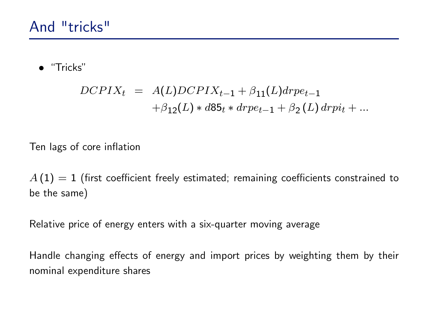· "Tricks"

$$
DCPIX_t = A(L)DCPIX_{t-1} + \beta_{11}(L)drop_{t-1}
$$
  
+
$$
\beta_{12}(L) * d85_t * drpe_{t-1} + \beta_2(L) drpi_t + ...
$$

Ten lags of core inflation

 $A(1) = 1$  (first coefficient freely estimated; remaining coefficients constrained to be the same)

Relative price of energy enters with a six-quarter moving average

Handle changing effects of energy and import prices by weighting them by their nominal expenditure shares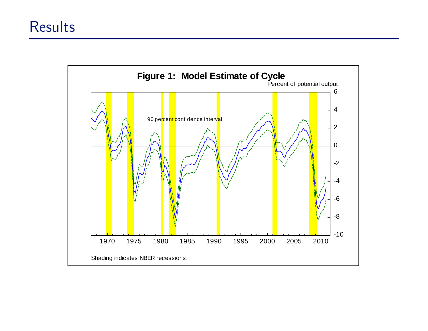

affect our assessment the cycle in the cycle in the recent period  $\alpha$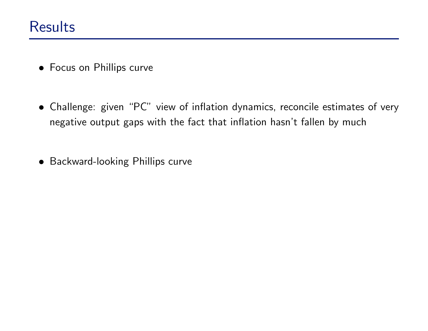- Focus on Phillips curve
- Challenge: given "PC" view of inflation dynamics, reconcile estimates of very negative output gaps with the fact that inflation hasn't fallen by much
- Backward-looking Phillips curve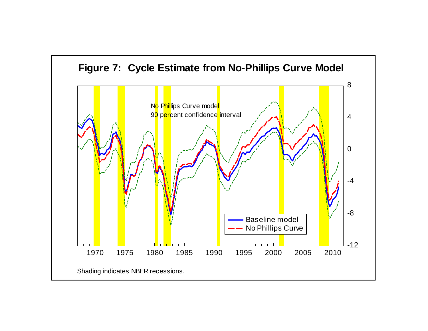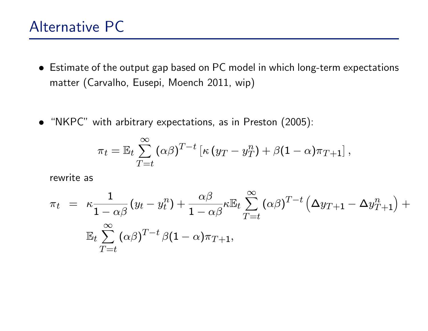## Alternative PC

- Estimate of the output gap based on PC model in which long-term expectations matter (Carvalho, Eusepi, Moench 2011, wip)
- "NKPC" with arbitrary expectations, as in Preston (2005):

$$
\pi_t = \mathbb{E}_t \sum_{T=t}^{\infty} (\alpha \beta)^{T-t} \left[ \kappa (y_T - y_T^n) + \beta (1 - \alpha) \pi_{T+1} \right],
$$

rewrite as

$$
\pi_t = \kappa \frac{1}{1 - \alpha \beta} (y_t - y_t^n) + \frac{\alpha \beta}{1 - \alpha \beta} \kappa \mathbb{E}_t \sum_{T=t}^{\infty} (\alpha \beta)^{T-t} (\Delta y_{T+1} - \Delta y_{T+1}^n) + \mathbb{E}_t \sum_{T=t}^{\infty} (\alpha \beta)^{T-t} \beta (1 - \alpha) \pi_{T+1},
$$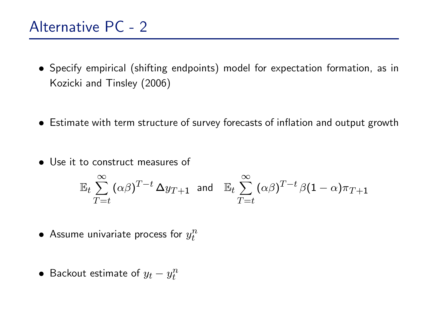## Alternative PC - 2

- Specify empirical (shifting endpoints) model for expectation formation, as in Kozicki and Tinsley (2006)
- Estimate with term structure of survey forecasts of inflation and output growth
- Use it to construct measures of

$$
\mathbb{E}_t \sum_{T=t}^{\infty} (\alpha \beta)^{T-t} \Delta y_{T+1} \text{ and } \mathbb{E}_t \sum_{T=t}^{\infty} (\alpha \beta)^{T-t} \beta (1-\alpha) \pi_{T+1}
$$

- $\bullet$  Assume univariate process for  $y_t^n$ t
- $\bullet\,$  Backout estimate of  $y_t y_t^n$ t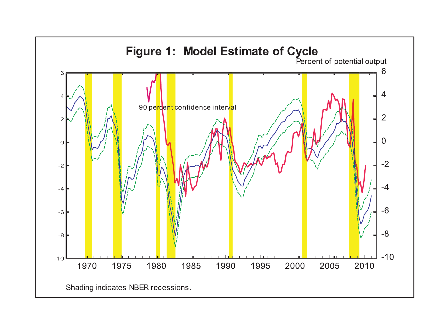